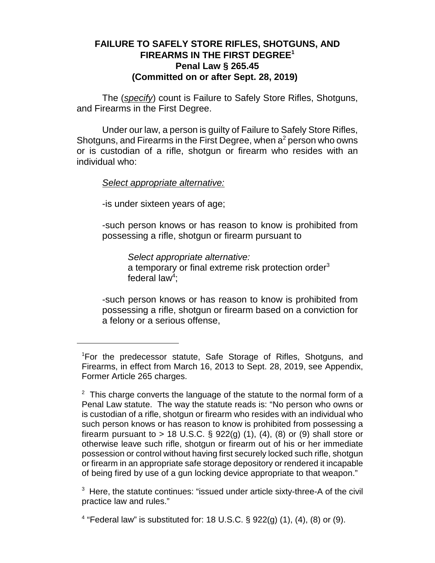## **FAILURE TO SAFELY STORE RIFLES, SHOTGUNS, AND FIREARMS IN THE FIRST DEGREE<sup>1</sup> Penal Law § 265.45 (Committed on or after Sept. 28, 2019)**

The (*specify*) count is Failure to Safely Store Rifles, Shotguns, and Firearms in the First Degree.

Under our law, a person is guilty of Failure to Safely Store Rifles, Shotguns, and Firearms in the First Degree, when  $a^2$  person who owns or is custodian of a rifle, shotgun or firearm who resides with an individual who:

## *Select appropriate alternative:*

-is under sixteen years of age;

-such person knows or has reason to know is prohibited from possessing a rifle, shotgun or firearm pursuant to

*Select appropriate alternative:* a temporary or final extreme risk protection order<sup>3</sup> federal law<sup>4</sup>;

-such person knows or has reason to know is prohibited from possessing a rifle, shotgun or firearm based on a conviction for a felony or a serious offense,

 $3$  Here, the statute continues: "issued under article sixty-three-A of the civil practice law and rules."

<sup>4</sup> "Federal law" is substituted for: 18 U.S.C. § 922(g) (1), (4), (8) or (9).

<sup>&</sup>lt;sup>1</sup>For the predecessor statute, Safe Storage of Rifles, Shotguns, and Firearms, in effect from March 16, 2013 to Sept. 28, 2019, see Appendix, Former Article 265 charges.

 $2$  This charge converts the language of the statute to the normal form of a Penal Law statute. The way the statute reads is: "No person who owns or is custodian of a rifle, shotgun or firearm who resides with an individual who such person knows or has reason to know is prohibited from possessing a firearm pursuant to  $> 18$  U.S.C. § 922(g) (1), (4), (8) or (9) shall store or otherwise leave such rifle, shotgun or firearm out of his or her immediate possession or control without having first securely locked such rifle, shotgun or firearm in an appropriate safe storage depository or rendered it incapable of being fired by use of a gun locking device appropriate to that weapon."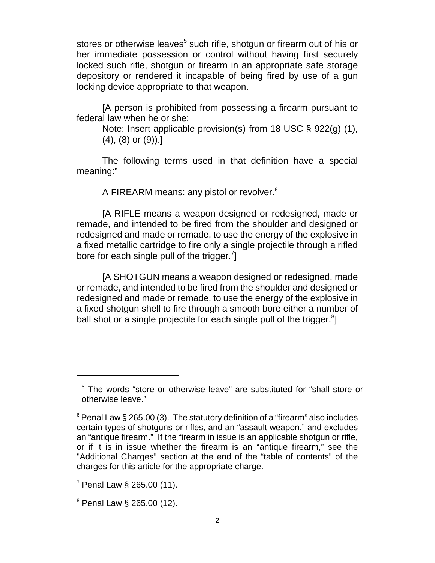stores or otherwise leaves<sup>5</sup> such rifle, shotgun or firearm out of his or her immediate possession or control without having first securely locked such rifle, shotgun or firearm in an appropriate safe storage depository or rendered it incapable of being fired by use of a gun locking device appropriate to that weapon.

[A person is prohibited from possessing a firearm pursuant to federal law when he or she:

Note: Insert applicable provision(s) from 18 USC § 922(g) (1),  $(4)$ ,  $(8)$  or  $(9)$ ).]

The following terms used in that definition have a special meaning:"

A FIREARM means: any pistol or revolver.<sup>6</sup>

[A RIFLE means a weapon designed or redesigned, made or remade, and intended to be fired from the shoulder and designed or redesigned and made or remade, to use the energy of the explosive in a fixed metallic cartridge to fire only a single projectile through a rifled bore for each single pull of the trigger.<sup>7</sup>]

[A SHOTGUN means a weapon designed or redesigned, made or remade, and intended to be fired from the shoulder and designed or redesigned and made or remade, to use the energy of the explosive in a fixed shotgun shell to fire through a smooth bore either a number of ball shot or a single projectile for each single pull of the trigger. $8$ ]

<sup>5</sup> The words "store or otherwise leave" are substituted for "shall store or otherwise leave."

 $6$  Penal Law § 265.00 (3). The statutory definition of a "firearm" also includes certain types of shotguns or rifles, and an "assault weapon," and excludes an "antique firearm." If the firearm in issue is an applicable shotgun or rifle, or if it is in issue whether the firearm is an "antique firearm," see the "Additional Charges" section at the end of the "table of contents" of the charges for this article for the appropriate charge.

 $7$  Penal Law § 265.00 (11).

 $8$  Penal Law § 265.00 (12).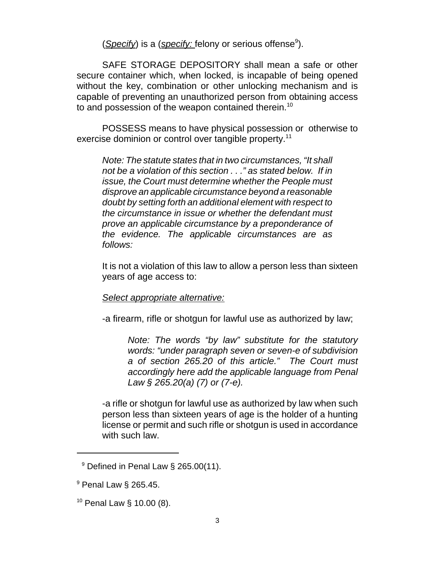(*Specify*) is a (*specify:* felony or serious offense<sup>9</sup>).

SAFE STORAGE DEPOSITORY shall mean a safe or other secure container which, when locked, is incapable of being opened without the key, combination or other unlocking mechanism and is capable of preventing an unauthorized person from obtaining access to and possession of the weapon contained therein.<sup>10</sup>

POSSESS means to have physical possession or otherwise to exercise dominion or control over tangible property.<sup>11</sup>

*Note: The statute states that in two circumstances, "It shall not be a violation of this section . . ." as stated below. If in issue, the Court must determine whether the People must disprove an applicable circumstance beyond a reasonable doubt by setting forth an additional element with respect to the circumstance in issue or whether the defendant must prove an applicable circumstance by a preponderance of the evidence. The applicable circumstances are as follows:*

It is not a violation of this law to allow a person less than sixteen years of age access to:

## *Select appropriate alternative:*

-a firearm, rifle or shotgun for lawful use as authorized by law;

*Note: The words "by law" substitute for the statutory words: "under paragraph seven or seven-e of subdivision a of section 265.20 of this article." The Court must accordingly here add the applicable language from Penal Law § 265.20(a) (7) or (7-e).* 

-a rifle or shotgun for lawful use as authorized by law when such person less than sixteen years of age is the holder of a hunting license or permit and such rifle or shotgun is used in accordance with such law.

 $9$  Defined in Penal Law  $\S$  265.00(11).

 $^9$  Penal Law  $\S$  265.45.

 $10$  Penal Law § 10.00 (8).